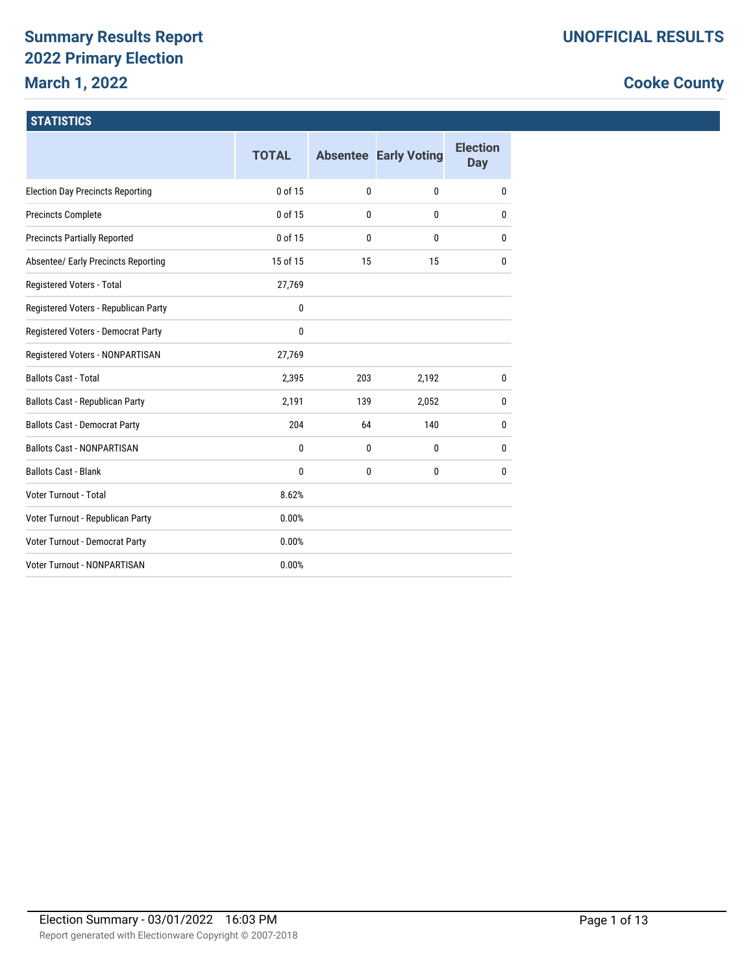# **Summary Results Report 2022 Primary Election March 1, 2022**

# **Cooke County**

### **STATISTICS**

|                                         | <b>TOTAL</b> |              | <b>Absentee Early Voting</b> | <b>Election</b><br>Day |
|-----------------------------------------|--------------|--------------|------------------------------|------------------------|
| <b>Election Day Precincts Reporting</b> | 0 of 15      | $\mathbf{0}$ | $\mathbf{0}$                 | 0                      |
| <b>Precincts Complete</b>               | 0 of 15      | $\mathbf{0}$ | $\mathbf{0}$                 | 0                      |
| <b>Precincts Partially Reported</b>     | 0 of 15      | 0            | $\mathbf{0}$                 | 0                      |
| Absentee/ Early Precincts Reporting     | 15 of 15     | 15           | 15                           | 0                      |
| Registered Voters - Total               | 27,769       |              |                              |                        |
| Registered Voters - Republican Party    | $\mathbf{0}$ |              |                              |                        |
| Registered Voters - Democrat Party      | $\mathbf{0}$ |              |                              |                        |
| Registered Voters - NONPARTISAN         | 27,769       |              |                              |                        |
| <b>Ballots Cast - Total</b>             | 2,395        | 203          | 2,192                        | 0                      |
| <b>Ballots Cast - Republican Party</b>  | 2,191        | 139          | 2,052                        | 0                      |
| <b>Ballots Cast - Democrat Party</b>    | 204          | 64           | 140                          | 0                      |
| <b>Ballots Cast - NONPARTISAN</b>       | $\mathbf{0}$ | 0            | $\mathbf{0}$                 | 0                      |
| <b>Ballots Cast - Blank</b>             | $\mathbf{0}$ | $\mathbf{0}$ | $\mathbf{0}$                 | 0                      |
| Voter Turnout - Total                   | 8.62%        |              |                              |                        |
| Voter Turnout - Republican Party        | 0.00%        |              |                              |                        |
| Voter Turnout - Democrat Party          | 0.00%        |              |                              |                        |
| Voter Turnout - NONPARTISAN             | 0.00%        |              |                              |                        |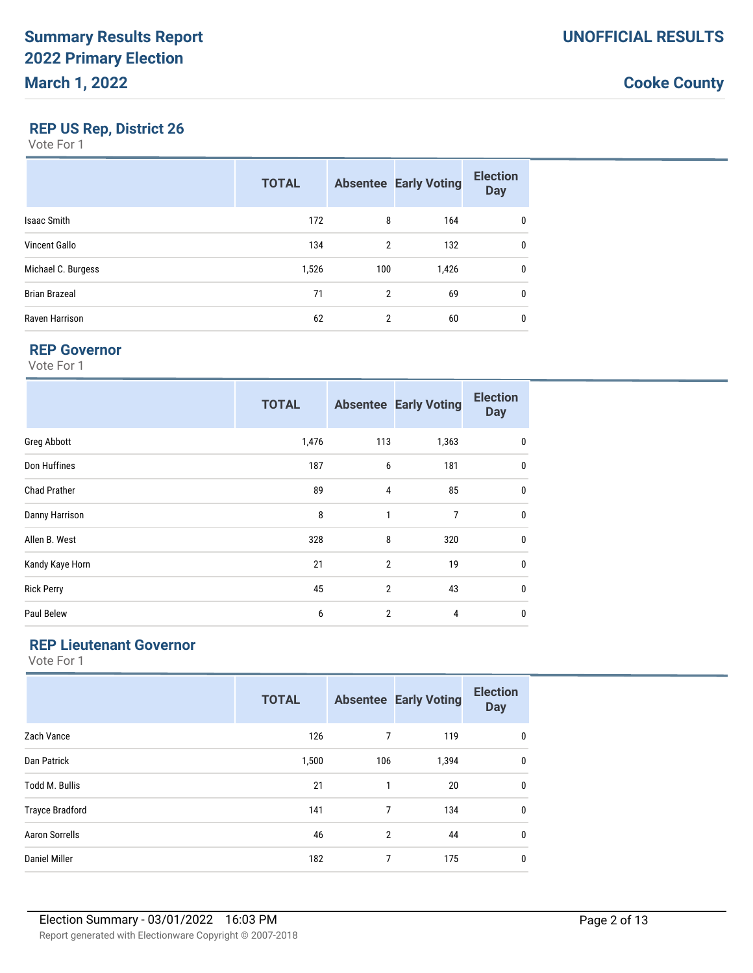# **REP US Rep, District 26**

Vote For 1

|                      | <b>TOTAL</b> |                | <b>Absentee Early Voting</b> | <b>Election</b><br><b>Day</b> |
|----------------------|--------------|----------------|------------------------------|-------------------------------|
| <b>Isaac Smith</b>   | 172          | 8              | 164                          | 0                             |
| <b>Vincent Gallo</b> | 134          | $\overline{2}$ | 132                          | 0                             |
| Michael C. Burgess   | 1,526        | 100            | 1,426                        | $\mathbf{0}$                  |
| <b>Brian Brazeal</b> | 71           | $\overline{2}$ | 69                           | 0                             |
| Raven Harrison       | 62           | $\overline{2}$ | 60                           | 0                             |

#### **REP Governor**

Vote For 1

|                     | <b>TOTAL</b> |                | <b>Absentee Early Voting</b> | <b>Election</b><br><b>Day</b> |
|---------------------|--------------|----------------|------------------------------|-------------------------------|
| Greg Abbott         | 1,476        | 113            | 1,363                        | 0                             |
| Don Huffines        | 187          | 6              | 181                          | 0                             |
| <b>Chad Prather</b> | 89           | 4              | 85                           | 0                             |
| Danny Harrison      | 8            | $\mathbf{1}$   | 7                            | $\mathbf{0}$                  |
| Allen B. West       | 328          | 8              | 320                          | 0                             |
| Kandy Kaye Horn     | 21           | $\overline{2}$ | 19                           | 0                             |
| <b>Rick Perry</b>   | 45           | $\overline{2}$ | 43                           | 0                             |
| Paul Belew          | 6            | $\overline{2}$ | 4                            | 0                             |

### **REP Lieutenant Governor**

|                        | <b>TOTAL</b> |     | <b>Absentee Early Voting</b> | <b>Election</b><br><b>Day</b> |
|------------------------|--------------|-----|------------------------------|-------------------------------|
| Zach Vance             | 126          | 7   | 119                          | 0                             |
| Dan Patrick            | 1,500        | 106 | 1,394                        | $\mathbf 0$                   |
| <b>Todd M. Bullis</b>  | 21           | 1   | 20                           | 0                             |
| <b>Trayce Bradford</b> | 141          | 7   | 134                          | $\mathbf 0$                   |
| <b>Aaron Sorrells</b>  | 46           | 2   | 44                           | 0                             |
| <b>Daniel Miller</b>   | 182          | 7   | 175                          | $\mathbf 0$                   |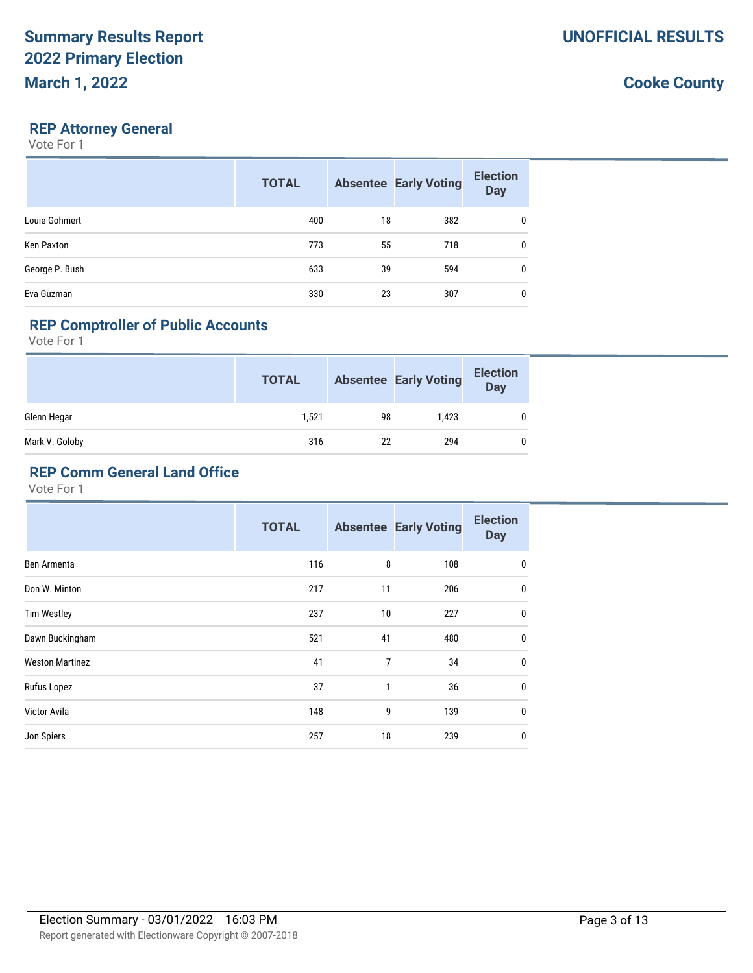#### **REP Attorney General**

Vote For 1

|                | <b>TOTAL</b> |    | <b>Absentee Early Voting</b> | <b>Election</b><br><b>Day</b> |
|----------------|--------------|----|------------------------------|-------------------------------|
| Louie Gohmert  | 400          | 18 | 382                          | 0                             |
| Ken Paxton     | 773          | 55 | 718                          | $\mathbf{0}$                  |
| George P. Bush | 633          | 39 | 594                          | 0                             |
| Eva Guzman     | 330          | 23 | 307                          | 0                             |

### **REP Comptroller of Public Accounts**

Vote For 1

|                | <b>TOTAL</b> |    | <b>Absentee Early Voting</b> | <b>Election</b><br><b>Day</b> |
|----------------|--------------|----|------------------------------|-------------------------------|
| Glenn Hegar    | 1,521        | 98 | 1,423                        |                               |
| Mark V. Goloby | 316          | 22 | 294                          |                               |

### **REP Comm General Land Office**

|                        | <b>TOTAL</b> |    | <b>Absentee Early Voting</b> | <b>Election</b><br><b>Day</b> |
|------------------------|--------------|----|------------------------------|-------------------------------|
| Ben Armenta            | 116          | 8  | 108                          | $\mathbf 0$                   |
| Don W. Minton          | 217          | 11 | 206                          | $\mathbf 0$                   |
| <b>Tim Westley</b>     | 237          | 10 | 227                          | $\mathbf 0$                   |
| Dawn Buckingham        | 521          | 41 | 480                          | $\mathbf 0$                   |
| <b>Weston Martinez</b> | 41           | 7  | 34                           | $\mathbf 0$                   |
| Rufus Lopez            | 37           | 1  | 36                           | $\mathbf 0$                   |
| Victor Avila           | 148          | 9  | 139                          | $\mathbf 0$                   |
| Jon Spiers             | 257          | 18 | 239                          | 0                             |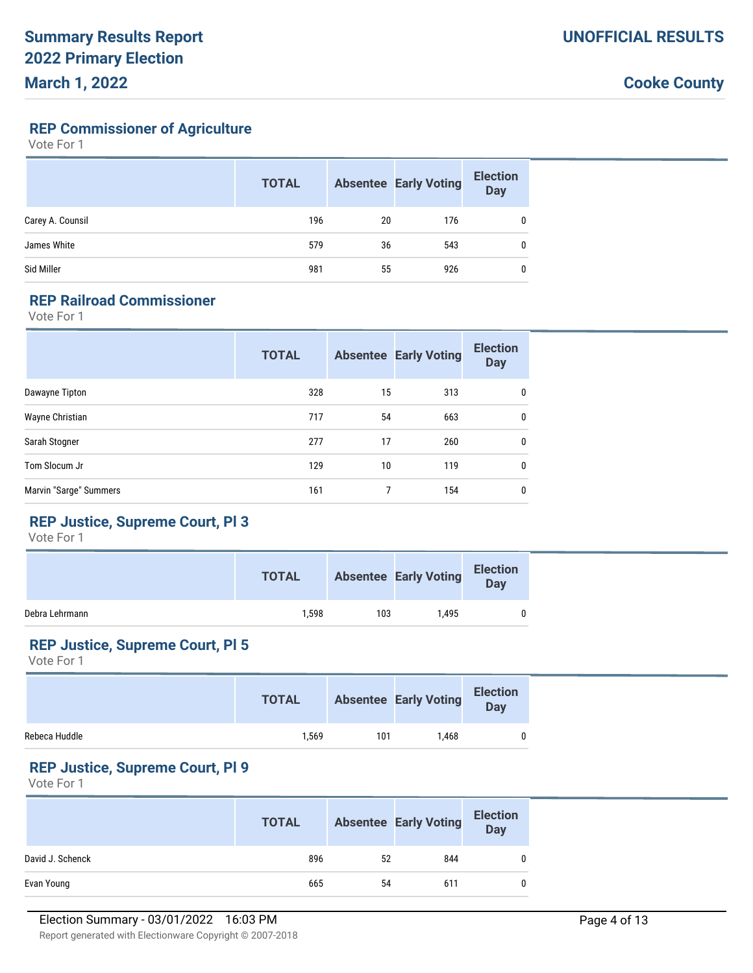### **REP Commissioner of Agriculture**

Vote For 1

|                  | <b>TOTAL</b> |    | <b>Absentee Early Voting</b> | <b>Election</b><br><b>Day</b> |
|------------------|--------------|----|------------------------------|-------------------------------|
| Carey A. Counsil | 196          | 20 | 176                          |                               |
| James White      | 579          | 36 | 543                          | $\mathbf{0}$                  |
| Sid Miller       | 981          | 55 | 926                          | $\mathbf{0}$                  |

#### **REP Railroad Commissioner**

Vote For 1

|                        | <b>TOTAL</b> |    | <b>Absentee Early Voting</b> | <b>Election</b><br><b>Day</b> |
|------------------------|--------------|----|------------------------------|-------------------------------|
| Dawayne Tipton         | 328          | 15 | 313                          | 0                             |
| Wayne Christian        | 717          | 54 | 663                          | 0                             |
| Sarah Stogner          | 277          | 17 | 260                          | $\mathbf{0}$                  |
| Tom Slocum Jr          | 129          | 10 | 119                          | 0                             |
| Marvin "Sarge" Summers | 161          |    | 154                          | 0                             |

# **REP Justice, Supreme Court, Pl 3**

Vote For 1

|                | <b>TOTAL</b> |     | <b>Absentee Early Voting</b> | <b>Election</b><br><b>Day</b> |  |
|----------------|--------------|-----|------------------------------|-------------------------------|--|
| Debra Lehrmann | 1.598        | 103 | 1.495                        |                               |  |

### **REP Justice, Supreme Court, Pl 5**

Vote For 1

|               | <b>TOTAL</b> |     | <b>Absentee Early Voting</b> | Election<br>Day |
|---------------|--------------|-----|------------------------------|-----------------|
| Rebeca Huddle | 1,569        | 101 | .468                         |                 |

#### **REP Justice, Supreme Court, Pl 9**

|                  | <b>TOTAL</b> |    | <b>Absentee Early Voting</b> | <b>Election</b><br>Day |
|------------------|--------------|----|------------------------------|------------------------|
| David J. Schenck | 896          | 52 | 844                          | $\mathbf{0}$           |
| Evan Young       | 665          | 54 | 611                          | $\mathbf{0}$           |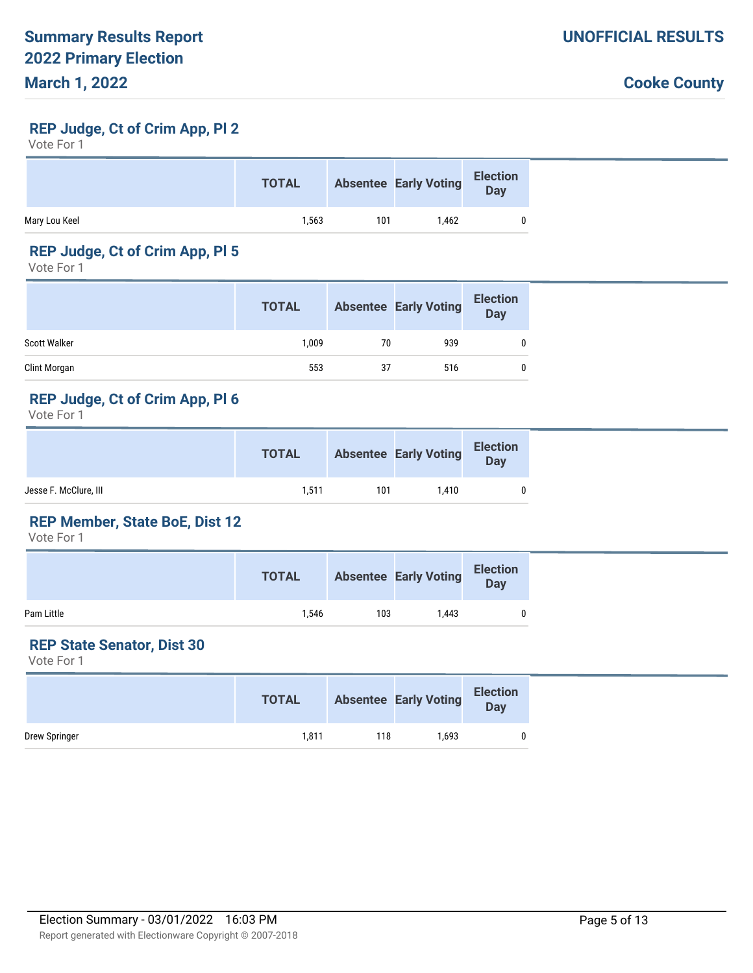### **REP Judge, Ct of Crim App, Pl 2**

Vote For 1

|               | <b>TOTAL</b> |     | <b>Absentee Early Voting</b> | <b>Election</b><br><b>Day</b> |
|---------------|--------------|-----|------------------------------|-------------------------------|
| Mary Lou Keel | 1,563        | 101 | 1.462                        |                               |

# **REP Judge, Ct of Crim App, Pl 5**

Vote For 1

|              | <b>TOTAL</b> |    | <b>Absentee Early Voting</b> | <b>Election</b><br><b>Day</b> |
|--------------|--------------|----|------------------------------|-------------------------------|
| Scott Walker | 1.009        | 70 | 939                          |                               |
| Clint Morgan | 553          | 37 | 516                          |                               |

#### **REP Judge, Ct of Crim App, Pl 6**

Vote For 1

|                       | <b>TOTAL</b> |     | <b>Absentee Early Voting</b> | Election<br>Day |
|-----------------------|--------------|-----|------------------------------|-----------------|
| Jesse F. McClure, III | 1,511        | 101 | 1.410                        | 0               |

#### **REP Member, State BoE, Dist 12**

Vote For 1

|            | <b>TOTAL</b> |     | <b>Absentee Early Voting</b> | <b>Election</b><br>Day |  |
|------------|--------------|-----|------------------------------|------------------------|--|
| Pam Little | 1.546        | 103 | 1.443                        |                        |  |

# **REP State Senator, Dist 30**

|               | <b>TOTAL</b> |     | <b>Absentee Early Voting</b> | Election<br>Day |
|---------------|--------------|-----|------------------------------|-----------------|
| Drew Springer | 1,811        | 118 | 1,693                        |                 |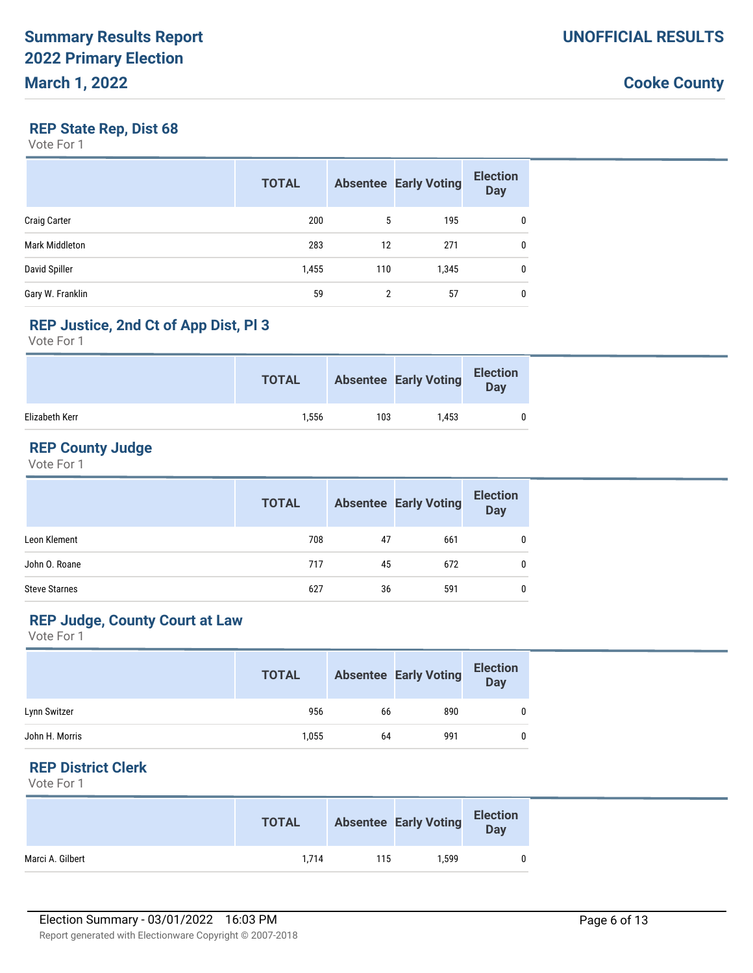### **REP State Rep, Dist 68**

Vote For 1

|                     | <b>TOTAL</b> |     | <b>Absentee Early Voting</b> | <b>Election</b><br><b>Day</b> |
|---------------------|--------------|-----|------------------------------|-------------------------------|
| <b>Craig Carter</b> | 200          | 5   | 195                          | $\mathbf{0}$                  |
| Mark Middleton      | 283          | 12  | 271                          | $\mathbf{0}$                  |
| David Spiller       | 1,455        | 110 | 1,345                        | 0                             |
| Gary W. Franklin    | 59           | 2   | 57                           | 0                             |

# **REP Justice, 2nd Ct of App Dist, Pl 3**

Vote For 1

|                | <b>TOTAL</b> |     | <b>Absentee Early Voting</b> | Election<br>Day |
|----------------|--------------|-----|------------------------------|-----------------|
| Elizabeth Kerr | 1,556        | 103 | 1.453                        |                 |

# **REP County Judge**

Vote For 1

|                      | <b>TOTAL</b> |    | <b>Absentee Early Voting</b> | <b>Election</b><br><b>Day</b> |
|----------------------|--------------|----|------------------------------|-------------------------------|
| Leon Klement         | 708          | 47 | 661                          |                               |
| John O. Roane        | 717          | 45 | 672                          |                               |
| <b>Steve Starnes</b> | 627          | 36 | 591                          | 0                             |

## **REP Judge, County Court at Law**

Vote For 1

|                | <b>TOTAL</b> |    | <b>Absentee Early Voting</b> | <b>Election</b><br>Day |
|----------------|--------------|----|------------------------------|------------------------|
| Lynn Switzer   | 956          | 66 | 890                          | 0                      |
| John H. Morris | 1,055        | 64 | 991                          | 0                      |

#### **REP District Clerk**

|                  | <b>TOTAL</b> |     | <b>Absentee Early Voting</b> | <b>Election</b><br><b>Day</b> |
|------------------|--------------|-----|------------------------------|-------------------------------|
| Marci A. Gilbert | 1.714        | 115 | 1.599                        | 0                             |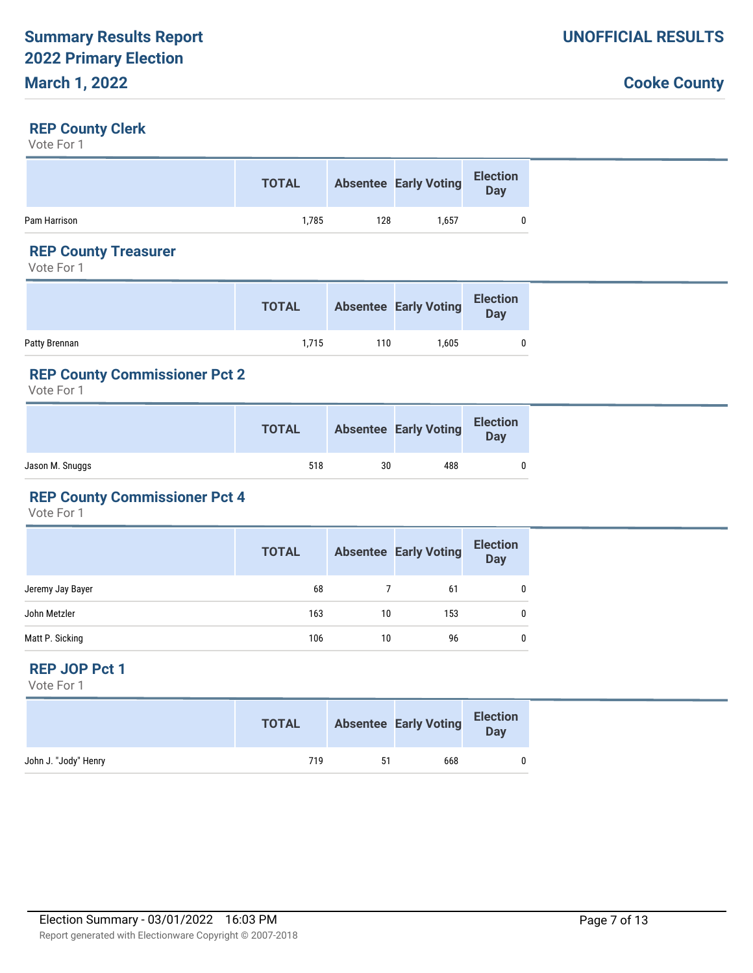### **REP County Clerk**

Vote For 1

|              | <b>TOTAL</b> |     | <b>Absentee Early Voting</b> | <b>Election</b><br><b>Day</b> |
|--------------|--------------|-----|------------------------------|-------------------------------|
| Pam Harrison | 1.785        | 128 | 1.657                        |                               |

# **REP County Treasurer**

Vote For 1

|               | <b>TOTAL</b> |     | <b>Absentee Early Voting</b> | <b>Election</b><br>Day |
|---------------|--------------|-----|------------------------------|------------------------|
| Patty Brennan | 1.715        | 110 | 1.605                        |                        |

# **REP County Commissioner Pct 2**

Vote For 1

|                 | <b>TOTAL</b> |    | <b>Absentee Early Voting</b> | <b>Election</b><br>Day |
|-----------------|--------------|----|------------------------------|------------------------|
| Jason M. Snuggs | 518          | 30 | 488                          |                        |

# **REP County Commissioner Pct 4**

Vote For 1

|                  | <b>TOTAL</b> |    | <b>Absentee Early Voting</b> | Election<br>Day |
|------------------|--------------|----|------------------------------|-----------------|
| Jeremy Jay Bayer | 68           |    | 61                           | $\mathbf 0$     |
| John Metzler     | 163          | 10 | 153                          | 0               |
| Matt P. Sicking  | 106          | 10 | 96                           | 0               |

#### **REP JOP Pct 1**

|                      | <b>TOTAL</b> |    | <b>Absentee Early Voting</b> | <b>Election</b><br>Day |  |
|----------------------|--------------|----|------------------------------|------------------------|--|
| John J. "Jody" Henry | 719          | 51 | 668                          |                        |  |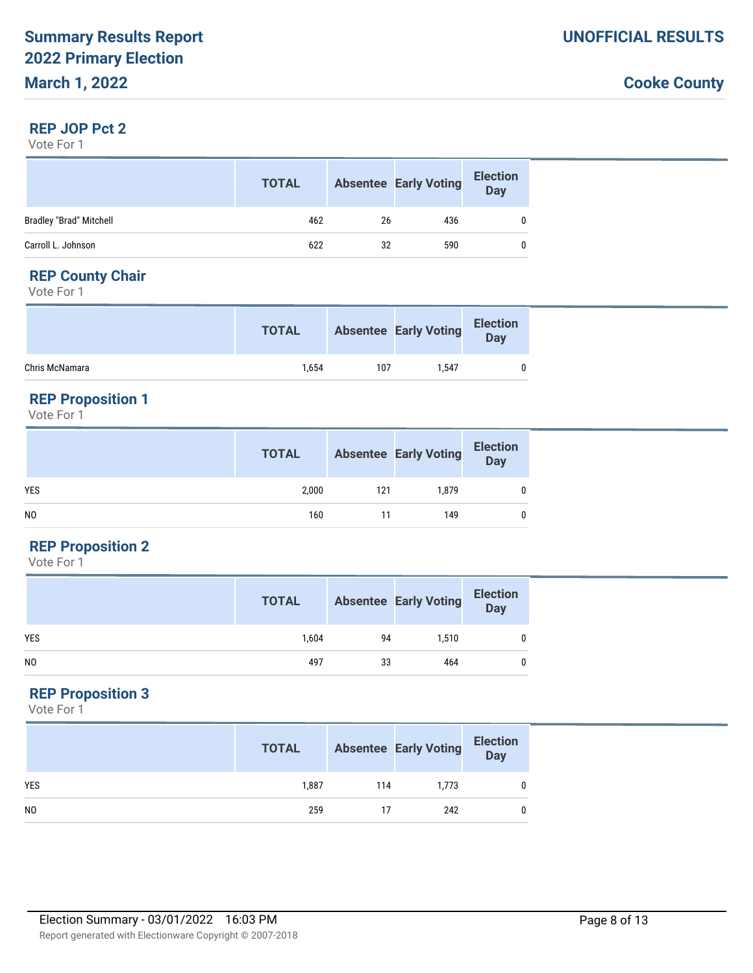#### **REP JOP Pct 2**

Vote For 1

|                         | <b>TOTAL</b> |    | <b>Absentee Early Voting</b> | <b>Election</b><br><b>Day</b> |
|-------------------------|--------------|----|------------------------------|-------------------------------|
| Bradley "Brad" Mitchell | 462          | 26 | 436                          |                               |
| Carroll L. Johnson      | 622          | 32 | 590                          |                               |

# **REP County Chair**

Vote For 1

|                | <b>TOTAL</b> |     | <b>Absentee Early Voting</b> | <b>Election</b><br><b>Day</b> |  |
|----------------|--------------|-----|------------------------------|-------------------------------|--|
| Chris McNamara | 1.654        | 107 | 1.547                        |                               |  |

#### **REP Proposition 1**

Vote For 1

|            | <b>TOTAL</b> |     | <b>Absentee Early Voting</b> | <b>Election</b><br>$\overline{Day}$ |
|------------|--------------|-----|------------------------------|-------------------------------------|
| <b>YES</b> | 2,000        | 121 | 1,879                        |                                     |
| NO         | 160          |     | 149                          |                                     |

#### **REP Proposition 2**

Vote For 1

|            | <b>TOTAL</b> |    | <b>Absentee Early Voting</b> | <b>Election</b><br>Day |
|------------|--------------|----|------------------------------|------------------------|
| <b>YES</b> | 1,604        | 94 | 1,510                        |                        |
| NO         | 497          | 33 | 464                          |                        |

# **REP Proposition 3**

|                | <b>TOTAL</b> |     | <b>Absentee Early Voting</b> | <b>Election</b><br>Day |
|----------------|--------------|-----|------------------------------|------------------------|
| <b>YES</b>     | 1,887        | 114 | 1,773                        |                        |
| N <sub>0</sub> | 259          |     | 242                          |                        |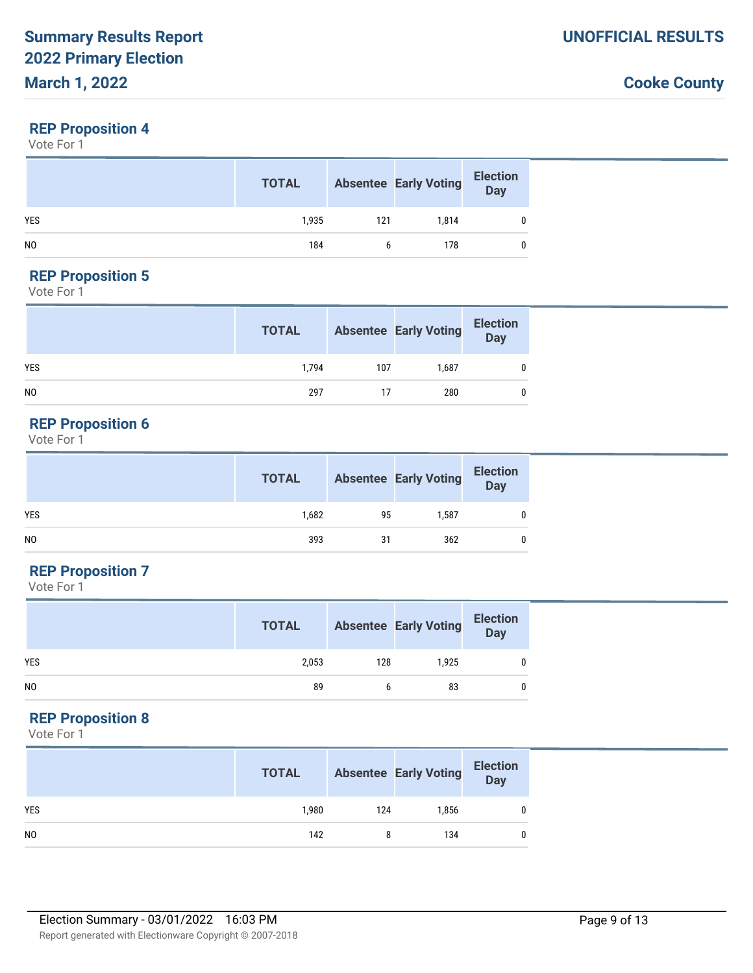#### **REP Proposition 4**

Vote For 1

|                | <b>TOTAL</b> |     | <b>Absentee Early Voting</b> | <b>Election</b><br>Day |
|----------------|--------------|-----|------------------------------|------------------------|
| <b>YES</b>     | 1,935        | 121 | 1,814                        |                        |
| N <sub>0</sub> | 184          |     | 178                          |                        |

# **REP Proposition 5**

Vote For 1

|                | <b>TOTAL</b> |     | <b>Absentee Early Voting</b> | <b>Election</b><br>Day |
|----------------|--------------|-----|------------------------------|------------------------|
| <b>YES</b>     | 1.794        | 107 | 1.687                        |                        |
| N <sub>0</sub> | 297          | 17  | 280                          |                        |

# **REP Proposition 6**

Vote For 1

|                | <b>TOTAL</b> |    | <b>Absentee Early Voting</b> | Bection |
|----------------|--------------|----|------------------------------|---------|
| <b>YES</b>     | 1,682        | 95 | 1,587                        |         |
| N <sub>0</sub> | 393          | 31 | 362                          |         |

# **REP Proposition 7**

Vote For 1

|                | <b>TOTAL</b> |     | <b>Absentee Early Voting</b> | <b>Election</b><br><b>Day</b> |
|----------------|--------------|-----|------------------------------|-------------------------------|
| <b>YES</b>     | 2,053        | 128 | 1,925                        | 0                             |
| N <sub>0</sub> | 89           |     | 83                           | 0                             |

# **REP Proposition 8**

|                | <b>TOTAL</b> |     | <b>Absentee Early Voting</b> | <b>Election</b><br>Day |
|----------------|--------------|-----|------------------------------|------------------------|
| <b>YES</b>     | 1,980        | 124 | 1,856                        |                        |
| N <sub>0</sub> | 142          | 8   | 134                          |                        |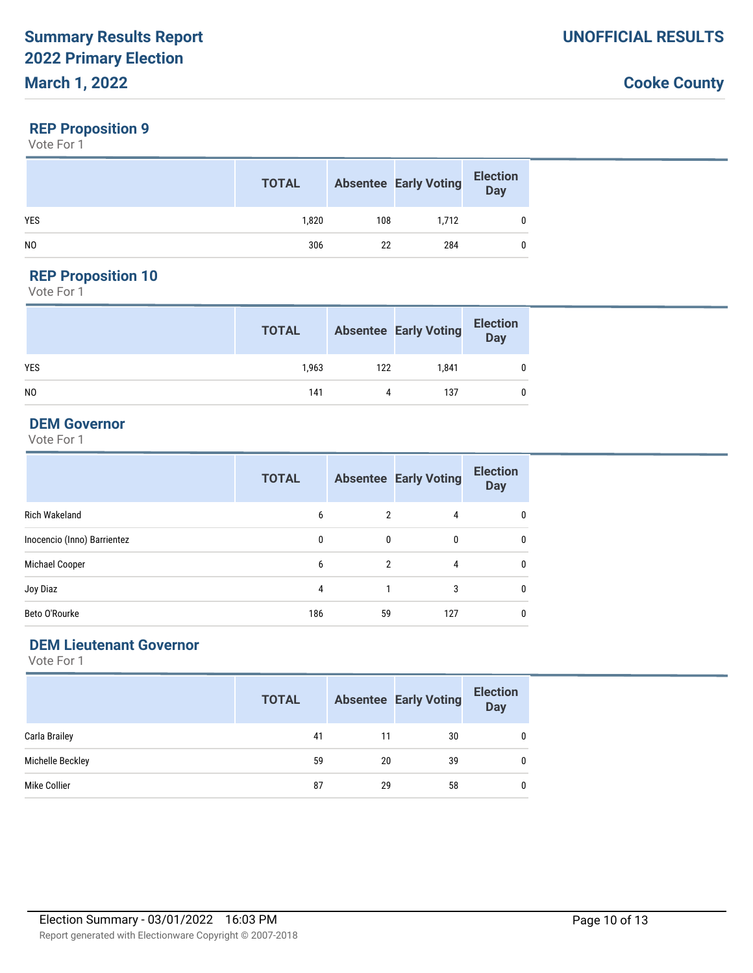#### **REP Proposition 9**

Vote For 1

|                | <b>TOTAL</b> |     | <b>Absentee Early Voting</b> | <b>Election</b><br>Day |
|----------------|--------------|-----|------------------------------|------------------------|
| <b>YES</b>     | 1,820        | 108 | 1,712                        |                        |
| N <sub>0</sub> | 306          | 22  | 284                          |                        |

# **REP Proposition 10**

Vote For 1

|                | <b>TOTAL</b> |     | <b>Absentee Early Voting</b> | <b>Election</b><br>Day |
|----------------|--------------|-----|------------------------------|------------------------|
| <b>YES</b>     | 1,963        | 122 | 1.841                        |                        |
| N <sub>0</sub> | 141          | 4   | 137                          |                        |

### **DEM Governor**

Vote For 1

|                             | <b>TOTAL</b> |                | <b>Absentee Early Voting</b> | <b>Election</b><br><b>Day</b> |
|-----------------------------|--------------|----------------|------------------------------|-------------------------------|
| <b>Rich Wakeland</b>        | 6            | $\mathfrak{p}$ | 4                            | 0                             |
| Inocencio (Inno) Barrientez | 0            | $\mathbf{0}$   | $\mathbf{0}$                 | 0                             |
| Michael Cooper              | 6            | 2              | 4                            | 0                             |
| Joy Diaz                    | 4            |                | 3                            | 0                             |
| Beto O'Rourke               | 186          | 59             | 127                          |                               |

### **DEM Lieutenant Governor**

|                  | <b>TOTAL</b> |    | <b>Absentee Early Voting</b> | <b>Election</b><br><b>Day</b> |
|------------------|--------------|----|------------------------------|-------------------------------|
| Carla Brailey    | 41           | 11 | 30                           |                               |
| Michelle Beckley | 59           | 20 | 39                           |                               |
| Mike Collier     | 87           | 29 | 58                           |                               |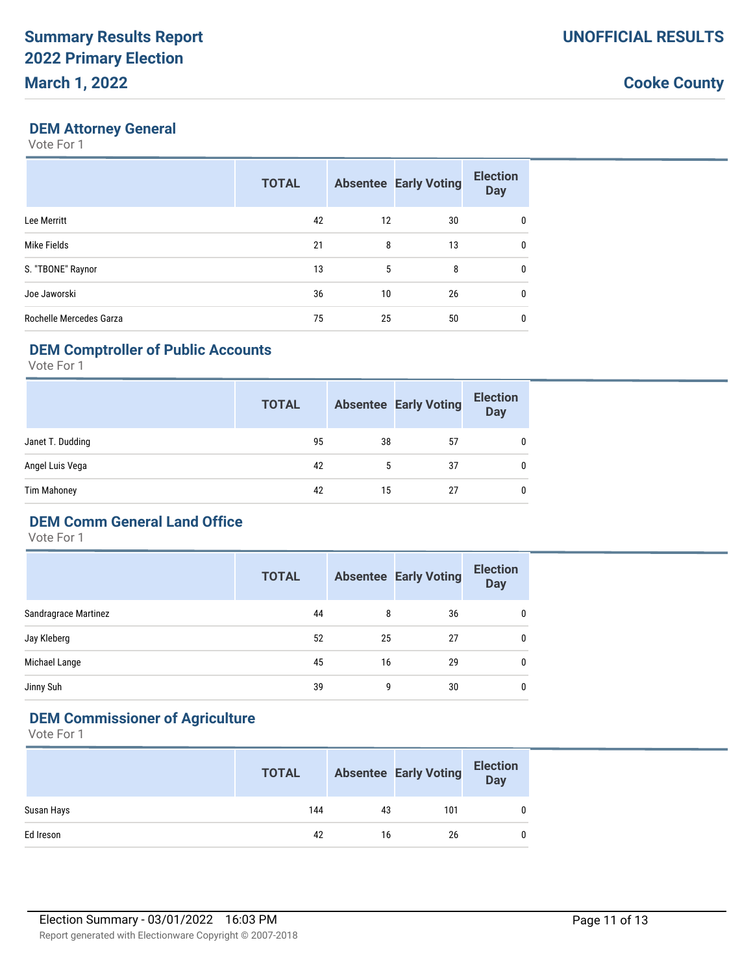#### **DEM Attorney General**

Vote For 1

|                         | <b>TOTAL</b> |    | <b>Absentee Early Voting</b> | <b>Election</b><br><b>Day</b> |
|-------------------------|--------------|----|------------------------------|-------------------------------|
| Lee Merritt             | 42           | 12 | 30                           | 0                             |
| Mike Fields             | 21           | 8  | 13                           | 0                             |
| S. "TBONE" Raynor       | 13           | 5  | 8                            | $\mathbf{0}$                  |
| Joe Jaworski            | 36           | 10 | 26                           | 0                             |
| Rochelle Mercedes Garza | 75           | 25 | 50                           | 0                             |

# **DEM Comptroller of Public Accounts**

Vote For 1

|                    | <b>TOTAL</b> |    | <b>Absentee Early Voting</b> | <b>Election</b><br><b>Day</b> |
|--------------------|--------------|----|------------------------------|-------------------------------|
| Janet T. Dudding   | 95           | 38 | 57                           | 0                             |
| Angel Luis Vega    | 42           |    | 37                           | 0                             |
| <b>Tim Mahoney</b> | 42           | 15 | 27                           | 0                             |

# **DEM Comm General Land Office**

Vote For 1

|                      | <b>TOTAL</b> |    | <b>Absentee Early Voting</b> | <b>Election</b><br><b>Day</b> |
|----------------------|--------------|----|------------------------------|-------------------------------|
| Sandragrace Martinez | 44           | 8  | 36                           | 0                             |
| Jay Kleberg          | 52           | 25 | 27                           | 0                             |
| Michael Lange        | 45           | 16 | 29                           | 0                             |
| Jinny Suh            | 39           | 9  | 30                           | 0                             |

# **DEM Commissioner of Agriculture**

|            | <b>TOTAL</b> |    | <b>Absentee Early Voting</b> | <b>Election</b><br><b>Day</b> |
|------------|--------------|----|------------------------------|-------------------------------|
| Susan Hays | 144          | 43 | 101                          | $\mathbf{0}$                  |
| Ed Ireson  | 42           | 16 | 26                           | $\mathbf{0}$                  |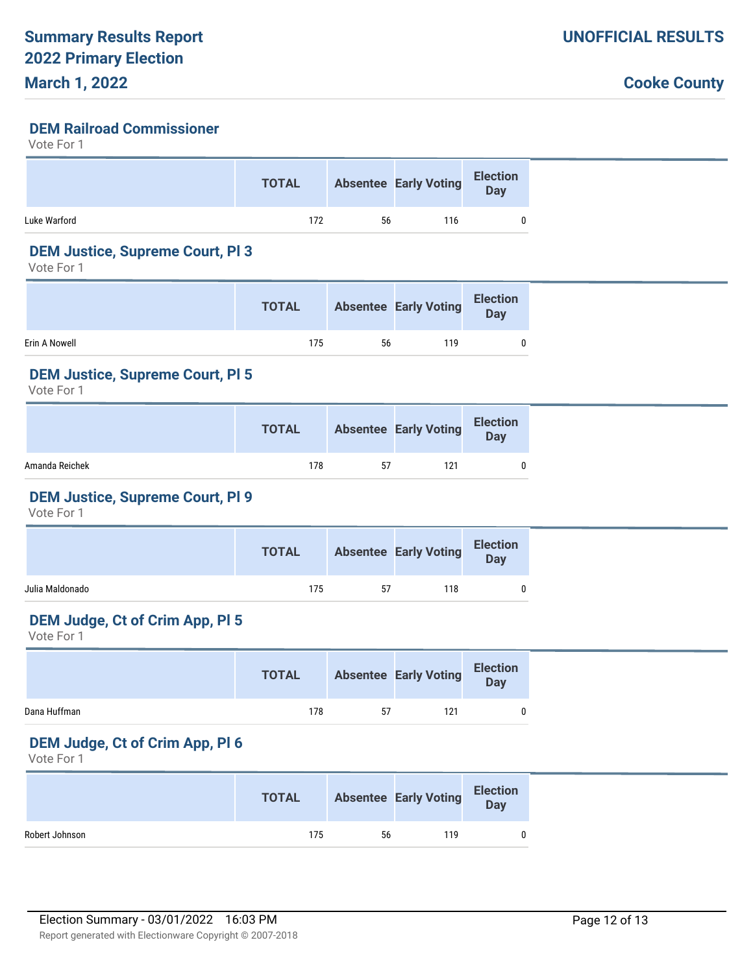#### **DEM Railroad Commissioner**

Vote For 1

|              | <b>TOTAL</b> |    | <b>Absentee Early Voting</b> | <b>Election</b><br>Day |
|--------------|--------------|----|------------------------------|------------------------|
| Luke Warford | 172          | 56 | 116                          |                        |

# **DEM Justice, Supreme Court, Pl 3**

Vote For 1

|               | <b>TOTAL</b> |    | <b>Absentee Early Voting</b> | <b>Election</b><br><b>Day</b> |  |
|---------------|--------------|----|------------------------------|-------------------------------|--|
| Erin A Nowell | 175          | 56 | 119                          |                               |  |

#### **DEM Justice, Supreme Court, Pl 5**

Vote For 1

|                | <b>TOTAL</b> |    | <b>Absentee Early Voting</b> | <b>Election</b><br>Day |
|----------------|--------------|----|------------------------------|------------------------|
| Amanda Reichek | 178          | 57 | 121                          |                        |

#### **DEM Justice, Supreme Court, Pl 9**

Vote For 1

| 118<br>175<br>57 |                 | <b>TOTAL</b> | Absentee Early Voting Election |  |
|------------------|-----------------|--------------|--------------------------------|--|
|                  | Julia Maldonado |              |                                |  |

## **DEM Judge, Ct of Crim App, Pl 5**

Vote For 1

|              | <b>TOTAL</b> |    | Absentee Early Voting Election |  |
|--------------|--------------|----|--------------------------------|--|
| Dana Huffman | 178          | 57 | 121                            |  |

#### **DEM Judge, Ct of Crim App, Pl 6**

|                | <b>TOTAL</b> |    | Absentee Early Voting Election |  |
|----------------|--------------|----|--------------------------------|--|
| Robert Johnson | 175          | 56 | 119                            |  |